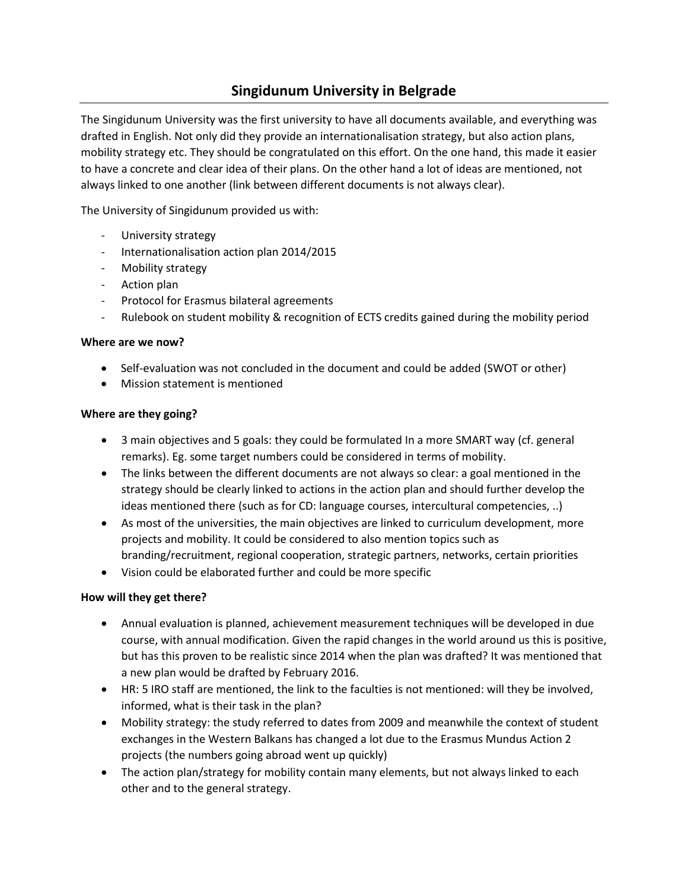## **Singidunum University in Belgrade**

The Singidunum University was the first university to have all documents available, and everything was drafted in English. Not only did they provide an internationalisation strategy, but also action plans, mobility strategy etc. They should be congratulated on this effort. On the one hand, this made it easier to have a concrete and clear idea of their plans. On the other hand a lot of ideas are mentioned, not always linked to one another (link between different documents is not always clear).

The University of Singidunum provided us with:

- University strategy
- Internationalisation action plan 2014/2015
- Mobility strategy
- Action plan
- Protocol for Erasmus bilateral agreements
- Rulebook on student mobility & recognition of ECTS credits gained during the mobility period

## **Where are we now?**

- Self-evaluation was not concluded in the document and could be added (SWOT or other)
- Mission statement is mentioned

## **Where are they going?**

- 3 main objectives and 5 goals: they could be formulated In a more SMART way (cf. general remarks). Eg. some target numbers could be considered in terms of mobility.
- The links between the different documents are not always so clear: a goal mentioned in the strategy should be clearly linked to actions in the action plan and should further develop the ideas mentioned there (such as for CD: language courses, intercultural competencies, ..)
- As most of the universities, the main objectives are linked to curriculum development, more projects and mobility. It could be considered to also mention topics such as branding/recruitment, regional cooperation, strategic partners, networks, certain priorities
- Vision could be elaborated further and could be more specific

## **How will they get there?**

- Annual evaluation is planned, achievement measurement techniques will be developed in due course, with annual modification. Given the rapid changes in the world around us this is positive, but has this proven to be realistic since 2014 when the plan was drafted? It was mentioned that a new plan would be drafted by February 2016.
- HR: 5 IRO staff are mentioned, the link to the faculties is not mentioned: will they be involved, informed, what is their task in the plan?
- Mobility strategy: the study referred to dates from 2009 and meanwhile the context of student exchanges in the Western Balkans has changed a lot due to the Erasmus Mundus Action 2 projects (the numbers going abroad went up quickly)
- The action plan/strategy for mobility contain many elements, but not always linked to each other and to the general strategy.